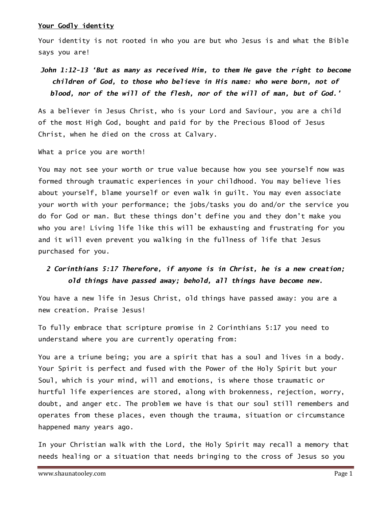### Your Godly identity

Your identity is not rooted in who you are but who Jesus is and what the Bible says you are!

# John 1:12-13 'But as many as received Him, to them He gave the right to become children of God, to those who believe in His name: who were born, not of blood, nor of the will of the flesh, nor of the will of man, but of God.'

As a believer in Jesus Christ, who is your Lord and Saviour, you are a child of the most High God, bought and paid for by the Precious Blood of Jesus Christ, when he died on the cross at Calvary.

What a price you are worth!

You may not see your worth or true value because how you see yourself now was formed through traumatic experiences in your childhood. You may believe lies about yourself, blame yourself or even walk in guilt. You may even associate your worth with your performance; the jobs/tasks you do and/or the service you do for God or man. But these things don't define you and they don't make you who you are! Living life like this will be exhausting and frustrating for you and it will even prevent you walking in the fullness of life that Jesus purchased for you.

# 2 Corinthians 5:17 Therefore, if anyone is in Christ, he is a new creation; old things have passed away; behold, all things have become new.

You have a new life in Jesus Christ, old things have passed away: you are a new creation. Praise Jesus!

To fully embrace that scripture promise in 2 Corinthians 5:17 you need to understand where you are currently operating from:

You are a triune being; you are a spirit that has a soul and lives in a body. Your Spirit is perfect and fused with the Power of the Holy Spirit but your Soul, which is your mind, will and emotions, is where those traumatic or hurtful life experiences are stored, along with brokenness, rejection, worry, doubt, and anger etc. The problem we have is that our soul still remembers and operates from these places, even though the trauma, situation or circumstance happened many years ago.

In your Christian walk with the Lord, the Holy Spirit may recall a memory that needs healing or a situation that needs bringing to the cross of Jesus so you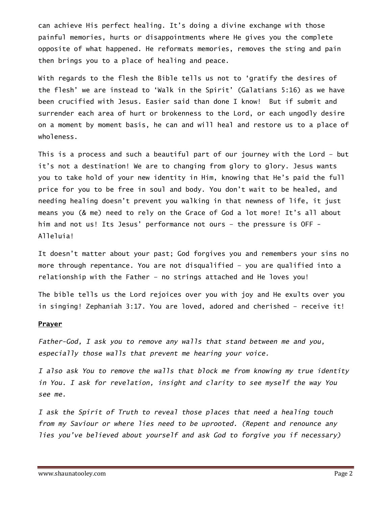can achieve His perfect healing. It's doing a divine exchange with those painful memories, hurts or disappointments where He gives you the complete opposite of what happened. He reformats memories, removes the sting and pain then brings you to a place of healing and peace.

With regards to the flesh the Bible tells us not to 'gratify the desires of the flesh' we are instead to 'Walk in the Spirit' (Galatians 5:16) as we have been crucified with Jesus. Easier said than done I know! But if submit and surrender each area of hurt or brokenness to the Lord, or each ungodly desire on a moment by moment basis, he can and will heal and restore us to a place of wholeness.

This is a process and such a beautiful part of our journey with the Lord – but it's not a destination! We are to changing from glory to glory. Jesus wants you to take hold of your new identity in Him, knowing that He's paid the full price for you to be free in soul and body. You don't wait to be healed, and needing healing doesn't prevent you walking in that newness of life, it just means you (& me) need to rely on the Grace of God a lot more! It's all about him and not us! Its Jesus' performance not ours – the pressure is OFF - Alleluia!

It doesn't matter about your past; God forgives you and remembers your sins no more through repentance. You are not disqualified – you are qualified into a relationship with the Father – no strings attached and He loves you!

The bible tells us the Lord rejoices over you with joy and He exults over you in singing! Zephaniah 3:17. You are loved, adored and cherished – receive it!

#### **Prayer**

Father-God, I ask you to remove any walls that stand between me and you, especially those walls that prevent me hearing your voice.

I also ask You to remove the walls that block me from knowing my true identity in You. I ask for revelation, insight and clarity to see myself the way You see me.

I ask the Spirit of Truth to reveal those places that need a healing touch from my Saviour or where lies need to be uprooted. (Repent and renounce any lies you've believed about yourself and ask God to forgive you if necessary)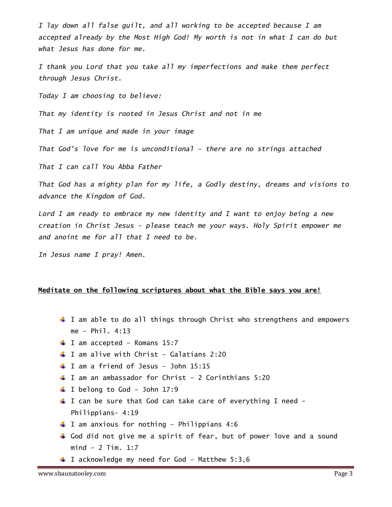I lay down all false guilt, and all working to be accepted because I am accepted already by the Most High God! My worth is not in what I can do but what Jesus has done for me.

I thank you Lord that you take all my imperfections and make them perfect through Jesus Christ.

Today I am choosing to believe:

That my identity is rooted in Jesus Christ and not in me

That I am unique and made in your image

That God's love for me is unconditional – there are no strings attached

That I can call You Abba Father

That God has a mighty plan for my life, a Godly destiny, dreams and visions to advance the Kingdom of God.

Lord I am ready to embrace my new identity and I want to enjoy being a new creation in Christ Jesus – please teach me your ways. Holy Spirit empower me and anoint me for all that I need to be.

In Jesus name I pray! Amen.

## Meditate on the following scriptures about what the Bible says you are!

- I am able to do all things through Christ who strengthens and empowers me – Phil. 4:13
- $I$  I am accepted Romans 15:7
- $\downarrow$  I am alive with Christ Galatians 2:20
- $\downarrow$  I am a friend of Jesus John 15:15
- $\downarrow$  I am an ambassador for Christ 2 Corinthians 5:20
- $\blacksquare$  I belong to God John 17:9
- $\perp$  I can be sure that God can take care of everything I need -Philippians- 4:19
- $\downarrow$  I am anxious for nothing Philippians 4:6
- God did not give me a spirit of fear, but of power love and a sound mind – 2 Tim. 1:7
- $\blacksquare$  I acknowledge my need for God Matthew 5:3,6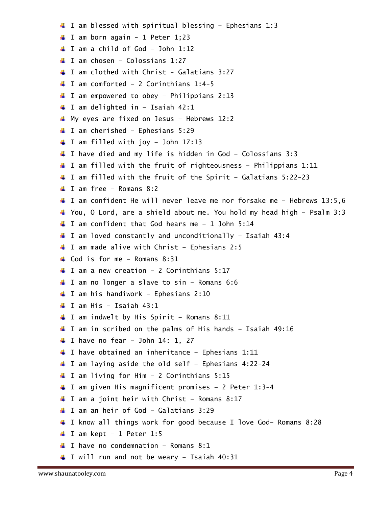$\downarrow$  I am blessed with spiritual blessing - Ephesians 1:3  $\blacksquare$  I am born again - 1 Peter 1;23  $\downarrow$  I am a child of God - John 1:12  $\blacksquare$  I am chosen – Colossians 1:27  $\downarrow$  I am clothed with Christ - Galatians 3:27  $\downarrow$  I am comforted - 2 Corinthians 1:4-5  $\downarrow$  I am empowered to obey - Philippians 2:13  $\downarrow$  I am delighted in - Isaiah 42:1 My eyes are fixed on Jesus - Hebrews 12:2  $\blacksquare$  I am cherished - Ephesians 5:29  $\downarrow$  I am filled with joy - John 17:13  $\downarrow$  I have died and my life is hidden in God - Colossians 3:3  $\downarrow$  I am filled with the fruit of righteousness - Philippians 1:11  $\downarrow$  I am filled with the fruit of the Spirit - Galatians 5:22-23  $\perp$  I am free – Romans 8:2 I am confident He will never leave me nor forsake me - Hebrews 13:5,6 You, O Lord, are a shield about me. You hold my head high – Psalm 3:3  $\downarrow$  I am confident that God hears me - 1 John 5:14  $\downarrow$  I am loved constantly and unconditionally - Isaiah 43:4  $\blacksquare$  I am made alive with Christ - Ephesians 2:5  $\Box$  God is for me – Romans 8:31  $\blacksquare$  I am a new creation - 2 Corinthians 5:17  $\downarrow$  I am no longer a slave to sin - Romans 6:6  $\downarrow$  I am his handiwork - Ephesians 2:10  $\downarrow$  I am His - Isaiah 43:1  $\perp$  I am indwelt by His Spirit - Romans 8:11  $\downarrow$  I am in scribed on the palms of His hands - Isaiah 49:16  $\downarrow$  I have no fear - John 14: 1, 27  $\downarrow$  I have obtained an inheritance - Ephesians 1:11  $\downarrow$  I am laying aside the old self - Ephesians 4:22-24  $\downarrow$  I am living for Him - 2 Corinthians 5:15 ↓ I am given His magnificent promises - 2 Peter 1:3-4  $\downarrow$  I am a joint heir with Christ - Romans 8:17 I am an heir of God - Galatians 3:29  $\downarrow$  I know all things work for good because I love God- Romans 8:28  $\textcolor{red}{\downarrow}$  I am kept - 1 Peter 1:5  $\blacksquare$  I have no condemnation - Romans 8:1  $\downarrow$  I will run and not be weary - Isaiah 40:31